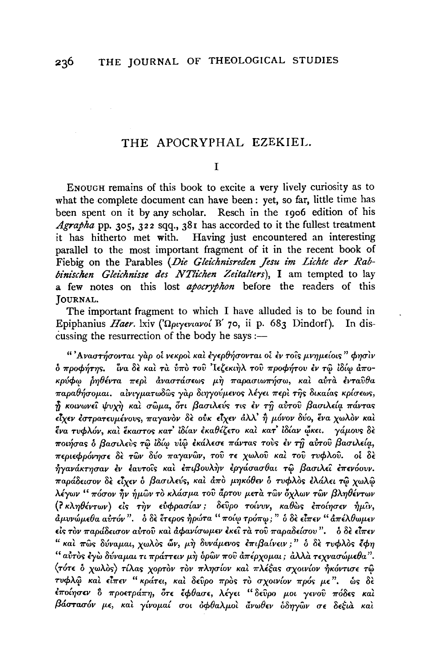# THE APOCRYPHAL EZEKIEL.

# <sup>T</sup>

ENOUGH remains of this book to excite a very lively curiosity as to what the complete document can have been: yet, so far, little time has been spent on it by any scholar. Resch in the 1906 edition of his Agrapha pp. 305, 322 sqq., 381 has accorded to it the fullest treatment it has hitherto met with. Having just encountered an interesting parallel to the most important fragment of it in the recent book of Fiebig on the Parables (Die Gleichnisreden Jesu im Lichte der Rabbinischen Gleichnisse des NTlichen Zeitalters), I am tempted to lay a few notes on this lost apocryphon before the readers of this **JOURNAL.** 

The important fragment to which I have alluded is to be found in Epiphanius Haer. lxiv (' $\Omega_{\mu\nu}$ evavoi B' 70, ii p. 683 Dindorf). In discussing the resurrection of the body he says :-

" Αναστήσονται γάρ οι νεκροί και εγερθήσονται οι εν τοις μνημείοις" φησιν δ προφήτης. <sup>7</sup>να δε και τα ύπο του 'Ιεζεκιήλ του προφήτου εν τω ιδίω άποκρύφω ρηθέντα περί αναστάσεως μη παρασιωπήσω, και αυτά ένταυθα παραθήσομαι. αίνιγματωδώς γαρ διηγούμενος λέγει περι της δικαίας κρίσεως, ή κοινωνεί ψυγή και σώμα, ότι βασιλεύς τις έν τη αυτού βασιλεία πάντας είχεν έστρατευμένους, παγανόν δε ούκ είχεν άλλ' ή μόνον δύο, ένα χωλον και ένα τυφλόν, και έκαστος κατ' ιδίαν εκαθέζετο και κατ' ιδίαν ώκει. γάμους δε ποιήσας δ βασιλεύς τω ίδίω υίω εκάλεσε πάντας τούς εν τη αύτου βασιλεία, περιεφρόνησε δε των δύο παγανών, του τε χωλου και του τυφλου. οι δε ήγανάκτησαν έν έαυτοΐς και έπιβουλην έργάσασθαι τῷ βασιλεῖ έπενόουν. παράδεισον δε είχεν ο βασιλεύς, και άπο μηκόθεν ο τυφλος ελάλει τω χωλώ λέγων " πόσον ήν ήμῶν τὸ κλάσμα τοῦ ἄρτου μετὰ τῶν ὄχλων τῶν βληθέντων (? κληθέντων) είς την εύφρασίαν; δεύρο τοίνυν, καθώς εποίησεν ήμιν, άμυνώμεθα αύτον". δδε έτερος ήρώτα "ποίω τρόπω;" δδε είπεν "άπέλθωμεν είς τον παράδεισον αύτου και άφανίσωμεν έκει τα του παραδείσου". δδε είπεν " και πως δύναμαι, χωλος ών, μη δυνάμενος επιβαίνειν;" ο δε τυφλος έφη " αύτος έγω δύναμαι τι πράττειν μη δρών που άπέρχομαι; άλλα τεχνασώμεθα". (τότε ο χωλος) τίλας χορτον τον πλησίον και πλέξας σχοινίον ηκόντισε τω τυφλώ και είπεν "κράτει, και δεύρο προς το σχοινίον πρός με". ώς δε έποίησεν δ προετράπη, ότε έφθασε, λέγει "δεύρο μοι γενού πόδες και βάστασόν με, καὶ γίνομαί σοι ὀφθαλμοὶ ἄνωθεν ὁδηγῶν σε δεξιὰ καὶ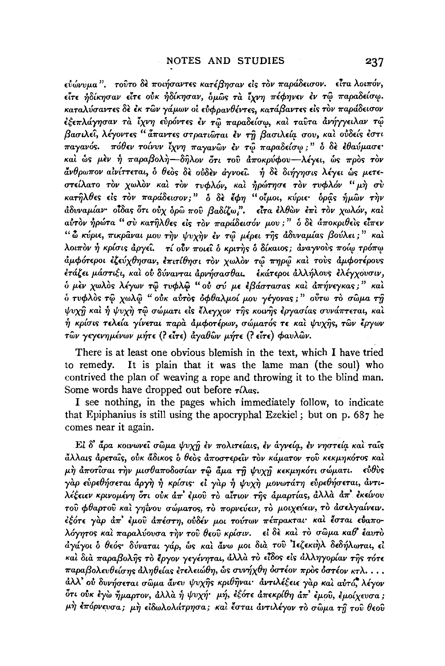εύώνυμα", τούτο δέ ποιήσαντες κατέβησαν είς τον παράδεισον. είτα λοιπόν, είτε ήδίκησαν είτε ούκ ήδίκησαν, δμώς τα ίγνη πέφηνεν εν τώ παραδείσω. καταλύσαντες δε έκ των γάμων οι ευφρανθέντες, κατάβαντες είς τον παράδεισον έξεπλάγησαν τα ίχνη ευρόντες έν τω παραδείσω, και ταυτα ανήγγειλαν τω βασιλεί, λέγοντες "άπαντες στρατιώται έν τη βασιλεία σου, και ούδείς έστι παγανός. πόθεν τοίνυν ίχνη παγανών έν τω παραδείσω;" δ δε έθαύμασε και ώς μεν ή παραβολή—δήλον ότι του αποκρύφου—λέγει, ώς προς τον άνθρωπον αινίττεται, ο θεός δε ούδεν άγνοεί. ή δε διήγησις λέγει ώς μετεστείλατο τον χωλον και τον τυφλόν, και ήρώτησε τον τυφλόν "μη σύ κατήλθες είς τον παράδεισον;" δ δε έφη "οίμοι, κύριε δράς ήμων την άδυναμίαν· οίδας ότι ούχ δρώ που βαδίζω,". είτα ελθών επι τον χωλόν, και αύτον ήρώτα " σύ κατήλθες είς τον παράδεισόν μου;" δ δε άποκριθείς είπεν " ω κύριε, πικράναι μου την ψυχην έν τω μέρει της άδυναμίας βούλει;" και λοιπον ή κρίσις άργει. τί ούν ποιεί ο κριτής ο δίκαιος; άναγνούς ποίω τρόπω άμφότεροι έζεύχθησαν, επιτίθησι τον χωλον τω πηρώ και τους άμφοτέρους έτάζει μάστιξι, και ου δύνανται αρνήσασθαι. εκάτεροι αλλήλους ελέγχουσιν, δ μεν χωλός λέγων τω τυφλώ "ού σύ με εβάστασας και άπήνεγκας;" και ό τυφλός τω χωλώ " ούκ αύτος οφθαλμοί μου γέγονας;" ούτω το σώμα τη ψυχη και ή ψυχη τω σώματι είς έλεγγον της κοινης εργασίας συνάπτεται, και ή κρίσις τελεία γίνεται παρὰ ἀμφοτέρων, σώματός τε καὶ ψυχῆς, τῶν ἔργων των γεγενημένων μήτε (? είτε) αγαθών μήτε (? είτε) φαυλών.

There is at least one obvious blemish in the text, which I have tried to remedy. It is plain that it was the lame man (the soul) who contrived the plan of weaving a rope and throwing it to the blind man. Some words have dropped out before  $\tau \lambda \alpha s$ .

I see nothing, in the pages which immediately follow, to indicate that Epiphanius is still using the apocryphal Ezekiel; but on p. 687 he comes near it again.

Εί δ' άρα κοινωνεί σώμα ψυχή έν πολιτείαις, έν άγνεία, έν νηστεία και ταίς άλλαις άρεταΐς, ούκ άδικος δ θεός άποστερεΐν τον κάματον του κεκμηκότος και μὴ ἀποτίσαι τὴν μισθαποδοσίαν τῷ ἄμα τῆ ψυχῆ κεκμηκότι σώματι. εὐθὺς γὰρ εὑρεθήσεται ἀργὴ ἡ κρίσις· εἰ γὰρ ἡ ψυχὴ μονωτάτη εὑρεθήσεται, ἀντιλέξειεν κρινομένη ότι ούκ άπ' έμου το αίτιον της άμαρτίας, άλλα άπ' έκείνου του φθαρτου και γηΐνου σώματος, το πορνεύειν, το μοιχεύειν, το άσελγαίνειν. έξότε γαρ απ' έμου απέστη, ούδέν μοι τούτων πέπρακται· και έσται εύαπολόγητος και παραλύουσα την του θεου κρίσιν. εί δε και το σώμα καθ' έαυτο άγάγοι ο θεός· δύναται γάρ, ώς και άνω μοι δια του Ιεζεκιήλ δεδήλωται, εί καὶ διὰ παραβολῆς τὸ ἔργον γεγένηται, ἀλλὰ τὸ εἶδος εἰς ἀλληγορίαν τῆς τότε παραβολευθείσης άληθείας ἐτελειώθη, ὧς συνήχθη ὀστέον πρὸς ὀστέον κτλ. . . . άλλ' ού δυνήσεται σώμα άνευ ψυχής κριθήναι άντιλέξειε γαρ και αυτό, λέγον ότι ούκ έγω ήμαρτον, άλλα ή ψυχή· μή, έξότε απεκρίθη απ' έμου, έμοίχευσα;  $\mu$ ή έπόρνευσα;  $\mu$ ή είδωλολάτρησα; καὶ ἔσται ἀντιλέγον τὸ σῶμα τῆ τοῦ θεοῦ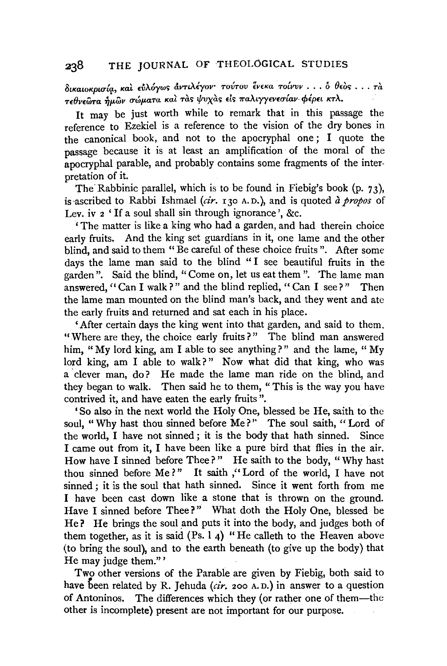$\delta$ ικαιοκρισία, και εύλόγως άντιλέγον· τούτου ένεκα τοίνυν . . . δ θεος . . . τα Tεθνεώτα ήμων σώματα και τας ψυχας είς παλιγγενεσίαν φέρει κτλ.

It may be just worth while to remark that in this passage the reference to Ezekiel is a reference to the vision of the dry bones in the canonical book, and not to the apocryphal one ; I quote the passage because it is at least an amplification of the moral of the apocryphal parable, and probably contains some fragments of the interpretation of it.

The Rabbinic parallel, which is to be found in Fiebig's book (p. 73). is ascribed to Rabbi Ishmael *(cir.* 130 A.D.), and is quoted *a propos* of Lev. iv  $2 \cdot$  If a soul shall sin through ignorance', &c.

'The matter is like a king who had a garden, and had therein choice early fruits. And the king set guardians in it, one lame and the other blind, and said to them "Be careful of these choice fruits ". After some days the lame man said to the blind "I see beautiful fruits in the garden". Said the blind, "Come on, let us eat them". The lame man answered, " Can I walk?" and the blind replied, " Can I see?" Then the lame man mounted on the blind man's back, and they went and ate the early fruits and returned and sat each in his place.

'After certain days the king went into that garden, and said to them, "Where are they, the choice early fruits?" The blind man answered him, "My lord king, am I able to see anything?" and the lame, "My lord king, am I able to walk?" Now what did that king, who was a clever man, do? He made the lame man ride on the blind, and they began to walk. Then said he to them, "This is the way you have contrived it, and have eaten the early fruits".

'So also in the next world the Holy One, blessed be He, saith to the soul, "Why hast thou sinned before Me?" The soul saith, "Lord of the world, I have not sinned ; it is the body that bath sinned. Since I came out from it, I have been like a pure bird that flies in the air. How have I sinned before Thee?" He saith to the body, "Why hast thou sinned before Me?" It saith ,"Lord of the world, I have not sinned : it is the soul that hath sinned. Since it went forth from me I have been cast down like a stone that is thrown on the ground. Have I sinned before Thee?" What doth the Holy One, blessed be He? He brings the soul and puts it into the body, and judges both of them together, as it is said  $(Ps. 14)$  "He calleth to the Heaven above (to bring the soul), and to the earth beneath (to give up the body) that He may judge them." '

Two other versions of the Parable are given by Fiebig, both said to have been related by R. Jehuda *(cir.* 200 A.D.) in answer to a question of Antoninos. The differences which they (or rather one of them-the other is incomplete) present are not important for our purpose.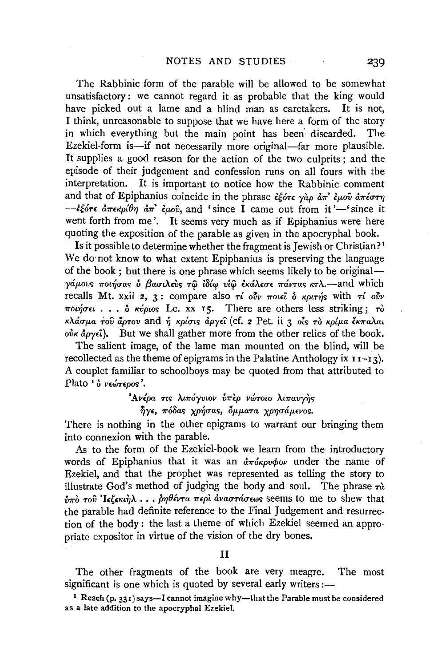The Rabbinic form of the parable will be allowed to be somewhat unsatisfactory: we cannot regard it as probable that the king would have picked out a lame and a blind man as caretakers. It is not, I think, unreasonable to suppose that we have here a form of the story in which everything but the main point has been discarded. The Ezekiel-form is-if not necessarily more original-far more plausible. It supplies a good reason for the action of the two culprits; and the episode of their judgement and confession runs on all fours with the interpretation. It is important to notice how the Rabbinic comment and that of Epiphanius coincide in the phrase  $\frac{2}{3}$   $\frac{2}{3}$   $\frac{2}{3}$   $\frac{2}{3}$   $\frac{2}{3}$   $\frac{2}{3}$   $\frac{2}{3}$   $\frac{2}{3}$   $\frac{2}{3}$   $\frac{2}{3}$   $\frac{2}{3}$   $\frac{2}{3}$   $\frac{2}{3}$   $\frac{2}{3}$   $\frac{2}{3}$   $\frac{2}{3}$   $\frac{2}{3}$   $\frac{2$  $-\epsilon \xi$ *ore a*  $\pi \epsilon \kappa \rho/\theta \eta$  *and 'since I came out from it'-' since it* went forth from me'. It seems very much as if Epiphanius were here quoting the exposition of the parable as given in the apocryphal book.

Is it possible to determine whether the fragment is Jewish or Christian?<sup>1</sup> We do not know to what extent Epiphanius is preserving the language of the book; but there is one phrase which seems likely to be original*yap.ous* ?l"Ot~(Ta<; *b f3arrtAru<; rce i8{q> vice lKaA£(T£ ?ravra<;* KTA.-and which recalls Mt. xxii  $z$ ,  $3$ : compare also  $\tau i$  oiv  $\tau v$  out  $\delta$  *kptrms* with  $\tau i$  oiv "lrO!~(T£! ••• *b Kvpw<;* Le. XX rs. There are others less striking; *TO KAarrp.a TOV llprov* and *TJ Kp{rrt<; apy£1:* (cf. 2 Pet. ii 3 of<; *TO Kp{p.a ;K?raAat*   $o\dot{\theta}$ *k*  $d\rho\gamma\epsilon\hat{i}$ . But we shall gather more from the other relics of the book.

The salient image, of the lame man mounted on the blind, will. be recollected as the theme of epigrams in the Palatine Anthology ix  $11 - 73$ . A couplet familiar to schoolboys may be quoted from that attributed to Plato <sup>*c*</sup> δ νεώτερος'.

> *'Aνέρα τις λιπόγυιον ύπερ νώτοιο λιπαυγής*  $\eta_{\gamma\epsilon}$ , πόδας χρήσας, δμματα χρησάμενος.

There is nothing in the other epigrams to warrant our bringing them into connexion with the parable.

As to the form of the Ezekiel-book we learn from the introductory words of Epiphanius that it was an  $\frac{\partial \pi}{\partial p}$  words the name of Ezekiel, and that the prophet was represented as telling the story to illustrate God's method of judging the body and soul. The phrase  $\tau \dot{a}$ *ν*<sub>π</sub>ό του 'Iεζεκιηλ... *ρηθέντα περι αναστάσεως* seems to me to shew that the parable had definite reference to the Final Judgement and resurrection of the body : the last a theme of which Ezekiel seemed an appropriate expositor in virtue of the vision of the dry bones.

## II

The other fragments of the book are very meagre. The most significant is one which is quoted by several early writers:-

<sup>1</sup> Resch (p. 331) says—I cannot imagine why—that the Parable must be considered as a late addition to the apocryphal Ezekiel.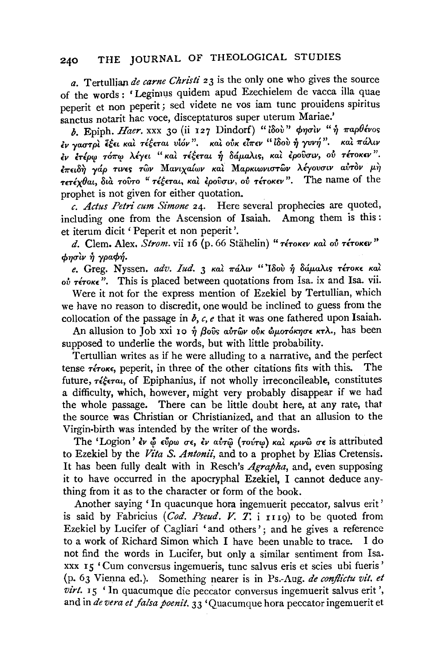#### **JOURNAL OF THEOLOGICAL STUDIES THE** 240

a. Tertullian de carne Christi 23 is the only one who gives the source of the words: 'Legimus quidem apud Ezechielem de vacca illa quae peperit et non peperit; sed videte ne vos iam tunc prouidens spiritus sanctus notarit hac voce, disceptaturos super uterum Mariae.'

b. Epiph. Haer. xxx 30 (ii 127 Dindorf) "idov" dnoiv "n  $\pi$ apbévos έν ναστοί έξει και τέξεται νίον". και ούκ είπεν "ίδου ή γυνή". και πάλιν έν έτέρω τόπω λέγει "και τέξεται ή δάμαλις, και έρουσιν, ού τέτοκεν". έπειδή γάρ τινες των Μανιχαίων και Μαρκιωνιστών λέγουσιν αύτον μή τετέχθαι, διά τούτο " τέξεται, και ερούσιν, ού τέτοκεν". The name of the prophet is not given for either quotation.

c. Actus Petri cum Simone 24. Here several prophecies are quoted, including one from the Ascension of Isaiah. Among them is this: et iterum dicit 'Peperit et non peperit'.

d. Clem. Alex. Strom. vii 16 (p. 66 Stähelin) "Térokev kal où Térokev" φησίν ή γραφή.

 $e$ . Greg. Nyssen. adv. Iud. 3 και πάλιν "Ιδου ή δάμαλις τέτοκε και  $_{0}$   $\vec{v}$   $\tau$   $\epsilon \tau$   $\alpha \epsilon$ <sup>"</sup>. This is placed between quotations from Isa. ix and Isa. vii.

Were it not for the express mention of Ezekiel by Tertullian, which we have no reason to discredit, one would be inclined to guess from the collocation of the passage in  $b$ , c, e that it was one fathered upon Isaiah.

An allusion to Job xxi 10  $\hat{\eta}$  Bovs avrov our superstance  $\kappa\tau\lambda$ , has been supposed to underlie the words, but with little probability.

Tertullian writes as if he were alluding to a narrative, and the perfect tense  $\tau$ *éroke*, peperit, in three of the other citations fits with this, The future,  $\tau \in \xi$ eral, of Epiphanius, if not wholly irreconcileable, constitutes a difficulty, which, however, might very probably disappear if we had the whole passage. There can be little doubt here, at any rate, that the source was Christian or Christianized, and that an allusion to the Virgin-birth was intended by the writer of the words.

The 'Logion' εν  $\phi$  εύρω σε, εν αύτ $\hat{\omega}$  (τούτω) και κρινώ σε is attributed to Ezekiel by the Vita S. Antonii, and to a prophet by Elias Cretensis. It has been fully dealt with in Resch's Agrapha, and, even supposing it to have occurred in the apocryphal Ezekiel. I cannot deduce anything from it as to the character or form of the book.

Another saying 'In quacunque hora ingemuerit peccator, salvus erit' is said by Fabricius (Cod. Pseud. V. T. i  $1119$ ) to be quoted from Ezekiel by Lucifer of Cagliari 'and others'; and he gives a reference to a work of Richard Simon which I have been unable to trace. I do not find the words in Lucifer, but only a similar sentiment from Isa. xxx 15 'Cum conversus ingemueris, tunc salvus eris et scies ubi fueris' (p. 63 Vienna ed.). Something nearer is in Ps.-Aug. de conflictu vit. et virt. 15 'In quacumque die peccator conversus ingemuerit salvus erit', and in *de vera et falsa poenit*, 33 'Ouacumque hora peccator ingemuerit et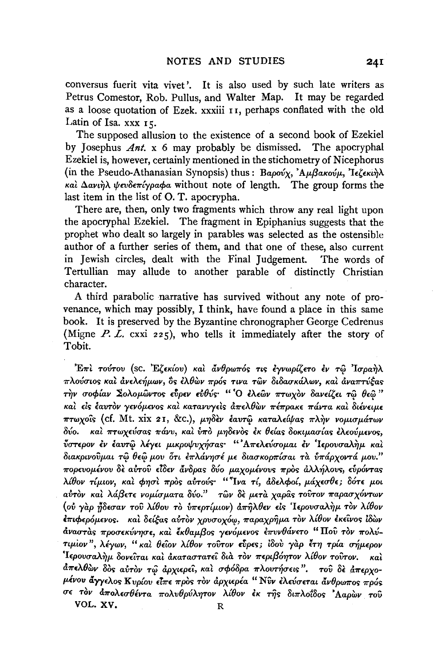conversus fuerit vita vivet '. It is also used by such late writers as Petrus Comestor, Rob. Pullus, and Waiter Map. It may be regarded as a loose quotation of Ezek. xxxiii 11, perhaps conflated with the old Latin of Isa. xxx 15.

The supposed allusion to the existence of a second book of Ezekiel by Josephus *Ant.* x 6 may probably be dismissed. The apocryphal Ezekiel is, however, certainly mentioned in the stichometry of Nicephorus (in the Pseudo-Athanasian Synopsis) thus: Βαρούχ, 'Αμβακούμ, 'Ιεζεκιήλ  $\vec{r}$  *Kat Δaνιήλ ψευδεπίγραφα* without note of length. The group forms the last item in the list of 0. T. apocrypha.

There are, then, only two fragments which throw any real light upon the apocryphal Ezekiel. The fragment in Epiphanius suggests that the prophet who dealt so largely in parables was selected as the ostensible author of a further series of them, and that one of these, also current in Jewish circles, dealt with the Final Judgement. The words of Tertullian may allude to another parable of distinctly Christian character.

A third parabolic narrative has survived without any note of provenance, which may possibly, I think, have found a place in this same book. It is preserved by the Byzantine chronographer George Cedrenus (Migne  $P$ .  $\overline{L}$ . cxxi 225), who tells it immediately after the story of Tobit.

*'Eπι τούτου* (sc. 'Εζεκίου) και άνθρωπός τις εγνωρίζετο εν τω 'Ισραήλ  $\pi\lambda$ ούσιος και ανελεήμων, δς έλθων πρός τινα των διδασκάλων, και αναπτύξας  $~\tau$ ήν σοφίαν Σολομώντος εύρεν εύθύς· " Ο έλεων πτωχὸν δανείζει τω θεω<sup>"</sup> και είς *ξαυτον γενόμενος και κατανυγεις απελθων πέπρακε πάντα και διένειμε*  $\pi$ *Twyo is* (cf. Mt. xix 21, &c.), *μηδεν έαυτ καταλείψας πλην νομισμάτων 8vo. Kal. 71"'Twxevuac; 1ravv, Kal. v1r0 p.'Y}8evoc;* eK *Oelac; 8oKtp.au{a., l.A.wvp.evo'>,*   $\tilde{v}$ στερον έν έαυτώ λέγει μικροψυχήσας· "'Απελεύσομαι έν 'Ιερουσαλήμ και *8taKptvovp.at T'i! (Je'i! p.ov* 6Tt *l.1rA.av'YJut* p.e *8tauKop7rluat Ta fJ1rapxoJI'Ta p.ov."*   $\pi$ ορευομένου δε αύτου είδεν άνδρας δύο μαχομένους προς αλλήλους, ευρόντας *AtOov TLp.wv, Kal. cp'YJul. 1rp0'> avTovc;· "•Iva Tl, &.8eA.cpo{, p.axeuOe; 86T£ pot av'TOJI Kal. Aa{3£'T£ vop.lup.a'Ta 8vo." 'TWV 8£ fl-E'Ta xapas 'TOVrOV 7rapaux6JI'Twv*  (ov *yap iJ8euav Tov A.{Oov TO V11"£p'Tlp.wv) &.1r1jA6ev el'>* 'lepovuaA~p. *TOv At(Jov*   $\epsilon \pi$ ιφερόμενος. και δείξας αύτον χρυσοχόω, παραχρήμα τον λίθον εκείνος ίδων *&.vaUTac; 7rpoueKvv'Y}ue, Kal. lK(Jap.f3o'> y£V6p.evo'> l.7rVv6aveTo "Ilov TOv* 7roAv-*Ttp.iov* ", *Alywv,* " *Kal. Oe'iov A.{Oov TovTov* eflpe'>; *l8ov yap lT'YJ Tpla* ~p.epov 'lepovuaA~p. *8ove'iTat Kal. d.KaTauraT£t* 8ta *TOV 7r£ptf36'YJ'TOV AtOov Towov. Kal.*   $d\pi \epsilon \lambda \theta \omega \nu$  δός αύτον τω άρχιερεί, και σφόδρα πλουτήσεις", του δε άπερχο*μένου άγγελος Κυρίου είπε πρός τον αρχιερέα* "Nύν ελεύσεται άνθρωπος πρός ue *TOv &.1roAeu6lvTa 7roAv6pvA'YJTOv A.{Oov* eK *T1]'>* 8t7rAot8oc; *'Aapwv Tov*  VOL. XV.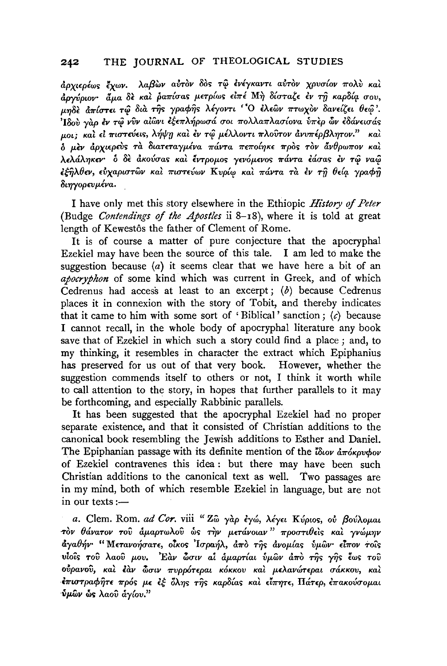### THE JOURNAL OF THEOLOGICAL STUDIES 242

άρχιερέως έχων. λαβών αύτον δος τω ενέγκαντι αύτον χρυσίον πολύ και άονύριου· άμα δε και ραπίσας μετρίως είπε Μη δίσταζε εν τη καρδία σου. μηδέ άπίστει τω διά της γραφής λέγοντι 'Ο έλεων πτωχον δανείζει θεώ'. .<br>Ίδού νὰο ἐν τῶ νῦν αἰῶνι ἐξεπλήρωσά σοι πολλαπλασίονα ύπὲρ ὧν ἐδάνεισάς μοι: και εί πιστεύεις, λήψη και έν τω μέλλοντι πλούτον άνυπέρβλητον." και .<br>δ μεν άργιερεύς τὰ διατεταγμένα πάντα πεποίηκε πρὸς τὸν ἄνθρωπον καὶ λελάληκεν δ δε άκούσας και έντρομος γενόμενος πάντα εάσας εν τώ ναώ εξήλθεν, εύχαριστών και πιστεύων Κυρίω και πάντα τα εν τη θεία γραφή διηγορευμένα.

I have only met this story elsewhere in the Ethiopic History of Peter (Budge Contendings of the Apostles ii 8-18), where it is told at great length of Kewestôs the father of Clement of Rome.

It is of course a matter of pure conjecture that the apocryphal Ezekiel may have been the source of this tale. I am led to make the suggestion because  $(a)$  it seems clear that we have here a bit of an abocryphon of some kind which was current in Greek, and of which Cedrenus had access at least to an excerpt;  $(b)$  because Cedrenus places it in connexion with the story of Tobit, and thereby indicates that it came to him with some sort of 'Biblical' sanction;  $(c)$  because I cannot recall, in the whole body of apocryphal literature any book save that of Ezekiel in which such a story could find a place : and, to my thinking, it resembles in character the extract which Epiphanius has preserved for us out of that very book. However, whether the suggestion commends itself to others or not. I think it worth while to call attention to the story, in hopes that further parallels to it may be forthcoming, and especially Rabbinic parallels.

It has been suggested that the apocryphal Ezekiel had no proper separate existence, and that it consisted of Christian additions to the canonical book resembling the Tewish additions to Esther and Daniel. The Epiphanian passage with its definite mention of the tow  $d\pi\phi_{\kappa\rho\nu\phi\sigma\nu}$ of Ezekiel contravenes this idea: but there may have been such Christian additions to the canonical text as well. Two passages are in my mind, both of which resemble Ezekiel in language, but are not in our texts :-

a. Clem. Rom. ad Cor. viii " Ζω γάρ έγώ, λέγει Κύριος, ού βούλομαι τον θάνατον του άμαρτωλου ώς την μετάνοιαν" προστιθείς και γνώμην άγαθήν "Μετανοήσατε, οίκος Ίσραήλ, άπό της άνομίας ύμων είπον τοίς υίοις του λαού μου. Εάν ώσιν αί άμαρτίαι ύμων άπό της γης έως του ούρανού, και έαν ώσιν πυρρότεραι κόκκου και μελανώτεραι σάκκου, και έπιστραφήτε πρός με έξ όλης της καρδίας και είπητε, Πάτερ, έπακούσομαι *<sup>δ</sup>μων* ώς λαού άγίου."